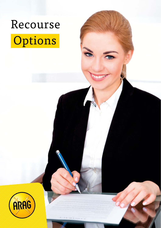

# **Options**

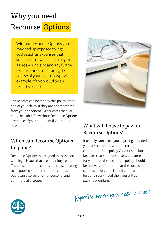# Why you need Recourse Options

Without Recourse Options you may end up exposed to legal costs such as expenses that your solicitor will have to pay to assess your claim and any further expenses incurred during the course of your claim. A typical example of this would be an expert's report.

These costs can be met by this policy at the end of your claim, if they are not recovered from your opponent. Other costs that you could be liable for without Recourse Options are those of your opponent if you should lose.

### When can Recourse Options help me?

Recourse Options is designed to assist you with legal issues that are not injury related. The most common claims are those relating to disputes over the terms of a contract but it can also cover other personal and commercial disputes.



# What will I have to pay for Recourse Options?

It usually won't cost you anything provided you have complied with the terms and conditions of the policy. As your solicitor believes that someone else is to blame for your loss, the cost of the policy should be recovered from them at the successful conclusion of your claim. If your case is lost or discontinued then you still don't pay the premium.

Expertise when you need it most

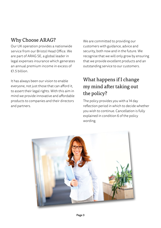# Why Choose ARAG?

Our UK operation provides a nationwide service from our Bristol Head Office. We are part of ARAG SE, a global leader in legal expenses insurance which generates an annual premium income in excess of  $£15$  billion

It has always been our vision to enable everyone, not just those that can afford it, to assert their legal rights. With this aim in mind we provide innovative and affordable products to companies and their directors and partners.

We are committed to providing our customers with guidance, advice and security, both now and in the future. We recognise that we will only grow by ensuring that we provide excellent products and an outstanding service to our customers.

# What happens if I change my mind after taking out the policy?

The policy provides you with a 14 day reflection period in which to decide whether you wish to continue. Cancellation is fully explained in condition 6 of the policy wording.

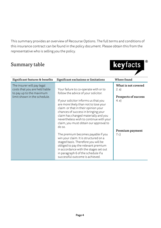This summary provides an overview of Recourse Options. The full terms and conditions of this insurance contract can be found in the policy document. Please obtain this from the representative who is selling you the policy.

#### Summary table



| Significant features & benefits                                                                                          | Significant exclusions or limitations                                                                                                                                                                                                                                                                                                                                                                                                                                                                                                                                                                                             | Where found                                                                               |
|--------------------------------------------------------------------------------------------------------------------------|-----------------------------------------------------------------------------------------------------------------------------------------------------------------------------------------------------------------------------------------------------------------------------------------------------------------------------------------------------------------------------------------------------------------------------------------------------------------------------------------------------------------------------------------------------------------------------------------------------------------------------------|-------------------------------------------------------------------------------------------|
| The insurer will pay legal<br>costs that you are held liable<br>to pay up to the maximum<br>limit shown in the schedule. | Your failure to co-operate with or to<br>follow the advice of your solicitor.<br>If your solicitor informs us that you<br>are more likely than not to lose your<br>claim or that in their opinion your<br>chances of success in bringing your<br>claim has changed materially and you<br>nevertheless wish to continue with your<br>claim, you must obtain our approval to<br>do so.<br>The premium becomes payable if you<br>win your claim. It is structured on a<br>staged basis. Therefore you will be<br>obliged to pay the relevant premium<br>in accordance with the stages set out<br>in paragraph 6 of the schedule if a | What is not covered<br>(2, a)<br>Prospects of success<br>4. e)<br>Premium payment<br>7 c) |
|                                                                                                                          | successful outcome is achieved.                                                                                                                                                                                                                                                                                                                                                                                                                                                                                                                                                                                                   |                                                                                           |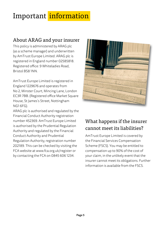# Important information

# About ARAG and your insurer

This policy is administered by ARAG plc (as a scheme manager) and underwritten by AmTrust Europe Limited. ARAG plc is registered in England number 02585818. Registered office: 9 Whiteladies Road, Bristol BS8 1NN.

AmTrust Europe Limited is registered in England 1229676 and operates from No 2, Minster Court, Mincing Lane, London EC3R 7BB. (Registered office Market Square House, St James's Street, Nottingham NG1 6FG).

ARAG plc is authorised and regulated by the Financial Conduct Authority registration number 452369. AmTrust Europe Limited is authorised by the Prudential Regulation Authority and regulated by the Financial Conduct Authority and Prudential Regulation Authority, registration number 202189. This can be checked by visiting the FCA website at www.fca.org.uk/register or by contacting the FCA on 0845 606 1234.



# What happens if the insurer cannot meet its liabilities?

AmTrust Europe Limited is covered by the Financial Services Compensation Scheme (FSCS). You may be entitled to compensation up to 90% of the cost of your claim, in the unlikely event that the insurer cannot meet its obligations. Further information is available from the FSCS.